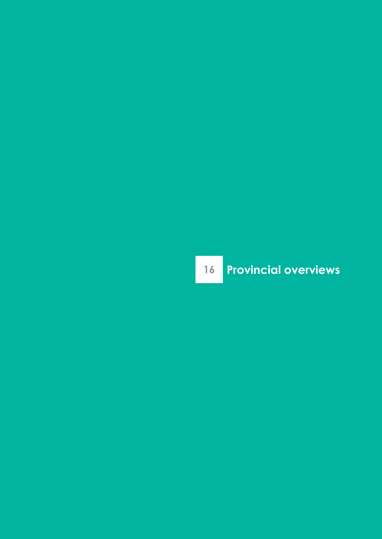# **Provincial overviews**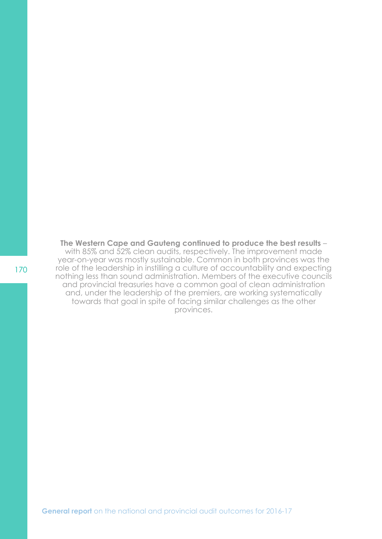**The Western Cape and Gauteng continued to produce the best results** – with 85% and 52% clean audits, respectively. The improvement made year-on-year was mostly sustainable. Common in both provinces was the role of the leadership in instilling a culture of accountability and expecting nothing less than sound administration. Members of the executive councils and provincial treasuries have a common goal of clean administration and, under the leadership of the premiers, are working systematically towards that goal in spite of facing similar challenges as the other provinces.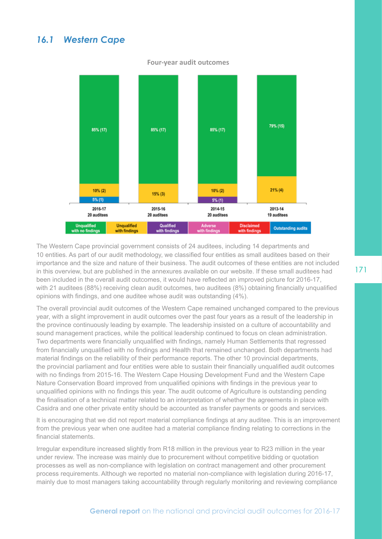### *16.1 Western Cape*



#### **Four-year audit outcomes**

The Western Cape provincial government consists of 24 auditees, including 14 departments and 10 entities. As part of our audit methodology, we classified four entities as small auditees based on their importance and the size and nature of their business. The audit outcomes of these entities are not included in this overview, but are published in the annexures available on our website. If these small auditees had been included in the overall audit outcomes, it would have reflected an improved picture for 2016-17, with 21 auditees (88%) receiving clean audit outcomes, two auditees (8%) obtaining financially unqualified opinions with findings, and one auditee whose audit was outstanding (4%).

The overall provincial audit outcomes of the Western Cape remained unchanged compared to the previous year, with a slight improvement in audit outcomes over the past four years as a result of the leadership in the province continuously leading by example. The leadership insisted on a culture of accountability and sound management practices, while the political leadership continued to focus on clean administration. Two departments were financially unqualified with findings, namely Human Settlements that regressed from financially unqualified with no findings and Health that remained unchanged. Both departments had material findings on the reliability of their performance reports. The other 10 provincial departments, the provincial parliament and four entities were able to sustain their financially unqualified audit outcomes with no findings from 2015-16. The Western Cape Housing Development Fund and the Western Cape Nature Conservation Board improved from unqualified opinions with findings in the previous year to unqualified opinions with no findings this year. The audit outcome of Agriculture is outstanding pending the finalisation of a technical matter related to an interpretation of whether the agreements in place with Casidra and one other private entity should be accounted as transfer payments or goods and services.

It is encouraging that we did not report material compliance findings at any auditee. This is an improvement from the previous year when one auditee had a material compliance finding relating to corrections in the financial statements.

Irregular expenditure increased slightly from R18 million in the previous year to R23 million in the year under review. The increase was mainly due to procurement without competitive bidding or quotation processes as well as non-compliance with legislation on contract management and other procurement process requirements. Although we reported no material non-compliance with legislation during 2016-17, mainly due to most managers taking accountability through regularly monitoring and reviewing compliance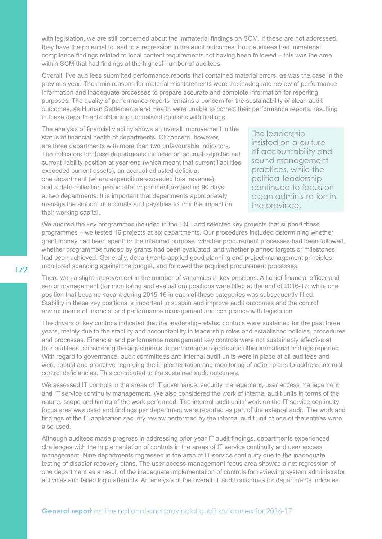with legislation, we are still concerned about the immaterial findings on SCM. If these are not addressed, they have the potential to lead to a regression in the audit outcomes. Four auditees had immaterial compliance findings related to local content requirements not having been followed – this was the area within SCM that had findings at the highest number of auditees.

Overall, five auditees submitted performance reports that contained material errors, as was the case in the previous year. The main reasons for material misstatements were the inadequate review of performance information and inadequate processes to prepare accurate and complete information for reporting purposes. The quality of performance reports remains a concern for the sustainability of clean audit outcomes, as Human Settlements and Health were unable to correct their performance reports, resulting in these departments obtaining unqualified opinions with findings.

The analysis of financial viability shows an overall improvement in the status of financial health of departments. Of concern, however, are three departments with more than two unfavourable indicators. The indicators for these departments included an accrual-adjusted net current liability position at year-end (which meant that current liabilities exceeded current assets), an accrual-adjusted deficit at one department (where expenditure exceeded total revenue), and a debt-collection period after impairment exceeding 90 days at two departments. It is important that departments appropriately manage the amount of accruals and payables to limit the impact on their working capital.

The leadership insisted on a culture of accountability and sound management practices, while the political leadership continued to focus on clean administration in the province.

We audited the key programmes included in the ENE and selected key projects that support these programmes – we tested 16 projects at six departments. Our procedures included determining whether grant money had been spent for the intended purpose, whether procurement processes had been followed, whether programmes funded by grants had been evaluated, and whether planned targets or milestones had been achieved. Generally, departments applied good planning and project management principles, monitored spending against the budget, and followed the required procurement processes.

There was a slight improvement in the number of vacancies in key positions. All chief financial officer and senior management (for monitoring and evaluation) positions were filled at the end of 2016-17; while one position that became vacant during 2015-16 in each of these categories was subsequently filled. Stability in these key positions is important to sustain and improve audit outcomes and the control environments of financial and performance management and compliance with legislation.

The drivers of key controls indicated that the leadership-related controls were sustained for the past three years, mainly due to the stability and accountability in leadership roles and established policies, procedures and processes. Financial and performance management key controls were not sustainably effective at four auditees, considering the adjustments to performance reports and other immaterial findings reported. With regard to governance, audit committees and internal audit units were in place at all auditees and were robust and proactive regarding the implementation and monitoring of action plans to address internal control deficiencies. This contributed to the sustained audit outcomes.

We assessed IT controls in the areas of IT governance, security management, user access management and IT service continuity management. We also considered the work of internal audit units in terms of the nature, scope and timing of the work performed. The internal audit units' work on the IT service continuity focus area was used and findings per department were reported as part of the external audit. The work and findings of the IT application security review performed by the internal audit unit at one of the entities were also used.

Although auditees made progress in addressing prior year IT audit findings, departments experienced challenges with the implementation of controls in the areas of IT service continuity and user access management. Nine departments regressed in the area of IT service continuity due to the inadequate testing of disaster recovery plans. The user access management focus area showed a net regression of one department as a result of the inadequate implementation of controls for reviewing system administrator activities and failed login attempts. An analysis of the overall IT audit outcomes for departments indicates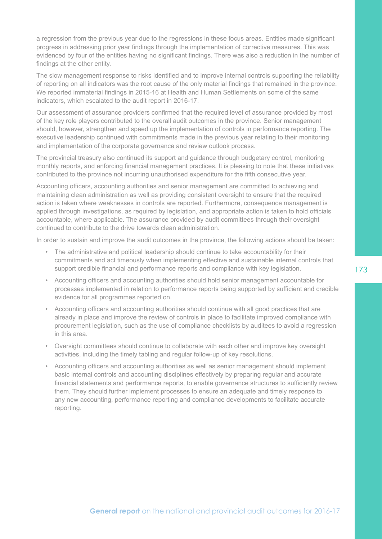a regression from the previous year due to the regressions in these focus areas. Entities made significant progress in addressing prior year findings through the implementation of corrective measures. This was evidenced by four of the entities having no significant findings. There was also a reduction in the number of findings at the other entity.

The slow management response to risks identified and to improve internal controls supporting the reliability of reporting on all indicators was the root cause of the only material findings that remained in the province. We reported immaterial findings in 2015-16 at Health and Human Settlements on some of the same indicators, which escalated to the audit report in 2016-17.

Our assessment of assurance providers confirmed that the required level of assurance provided by most of the key role players contributed to the overall audit outcomes in the province. Senior management should, however, strengthen and speed up the implementation of controls in performance reporting. The executive leadership continued with commitments made in the previous year relating to their monitoring and implementation of the corporate governance and review outlook process.

The provincial treasury also continued its support and guidance through budgetary control, monitoring monthly reports, and enforcing financial management practices. It is pleasing to note that these initiatives contributed to the province not incurring unauthorised expenditure for the fifth consecutive year.

Accounting officers, accounting authorities and senior management are committed to achieving and maintaining clean administration as well as providing consistent oversight to ensure that the required action is taken where weaknesses in controls are reported. Furthermore, consequence management is applied through investigations, as required by legislation, and appropriate action is taken to hold officials accountable, where applicable. The assurance provided by audit committees through their oversight continued to contribute to the drive towards clean administration.

In order to sustain and improve the audit outcomes in the province, the following actions should be taken:

- The administrative and political leadership should continue to take accountability for their commitments and act timeously when implementing effective and sustainable internal controls that support credible financial and performance reports and compliance with key legislation.
- Accounting officers and accounting authorities should hold senior management accountable for processes implemented in relation to performance reports being supported by sufficient and credible evidence for all programmes reported on.
- Accounting officers and accounting authorities should continue with all good practices that are already in place and improve the review of controls in place to facilitate improved compliance with procurement legislation, such as the use of compliance checklists by auditees to avoid a regression in this area.
- Oversight committees should continue to collaborate with each other and improve key oversight activities, including the timely tabling and regular follow-up of key resolutions.
- Accounting officers and accounting authorities as well as senior management should implement basic internal controls and accounting disciplines effectively by preparing regular and accurate financial statements and performance reports, to enable governance structures to sufficiently review them. They should further implement processes to ensure an adequate and timely response to any new accounting, performance reporting and compliance developments to facilitate accurate reporting.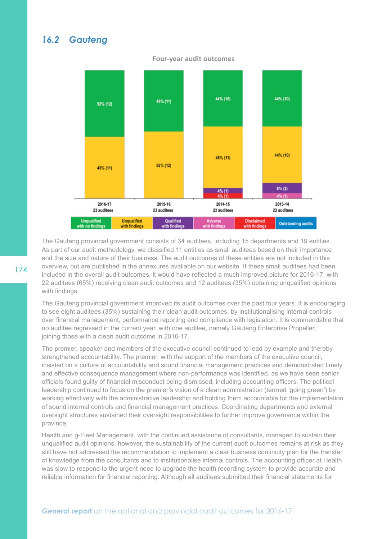# *16.2 Gauteng*

#### 44% (10) 44% (10) 48% (11) 52% (12) 44% (10) 48% (11) 52% (12) 48% (11)  $8% (2)$  $4% (1)$ 4% (1) 2016-17 2015-16 2013-14 2014-15 23 auditees 23 auditees 23 auditees 23 auditees **Unqualified Unqualified** Qualified **Disclaimed** Adverse **Outstanding audits** .<br>In findin with findings

#### **Four-year audit outcomes**

The Gauteng provincial government consists of 34 auditees, including 15 departments and 19 entities. As part of our audit methodology, we classified 11 entities as small auditees based on their importance and the size and nature of their business. The audit outcomes of these entities are not included in this overview, but are published in the annexures available on our website. If these small auditees had been included in the overall audit outcomes, it would have reflected a much improved picture for 2016-17, with 22 auditees (65%) receiving clean audit outcomes and 12 auditees (35%) obtaining unqualified opinions with findings.

The Gauteng provincial government improved its audit outcomes over the past four years. It is encouraging to see eight auditees (35%) sustaining their clean audit outcomes, by institutionalising internal controls over financial management, performance reporting and compliance with legislation. It is commendable that no auditee regressed in the current year, with one auditee, namely Gauteng Enterprise Propeller, joining those with a clean audit outcome in 2016-17.

The premier, speaker and members of the executive council continued to lead by example and thereby strengthened accountability. The premier, with the support of the members of the executive council, insisted on a culture of accountability and sound financial management practices and demonstrated timely and effective consequence management where non-performance was identified, as we have seen senior officials found guilty of financial misconduct being dismissed, including accounting officers. The political leadership continued to focus on the premier's vision of a clean administration (termed 'going green') by working effectively with the administrative leadership and holding them accountable for the implementation of sound internal controls and financial management practices. Coordinating departments and external oversight structures sustained their oversight responsibilities to further improve governance within the province.

Health and g-Fleet Management, with the continued assistance of consultants, managed to sustain their unqualified audit opinions; however, the sustainability of the current audit outcomes remains at risk as they still have not addressed the recommendation to implement a clear business continuity plan for the transfer of knowledge from the consultants and to institutionalise internal controls. The accounting officer at Health was slow to respond to the urgent need to upgrade the health recording system to provide accurate and reliable information for financial reporting. Although all auditees submitted their financial statements for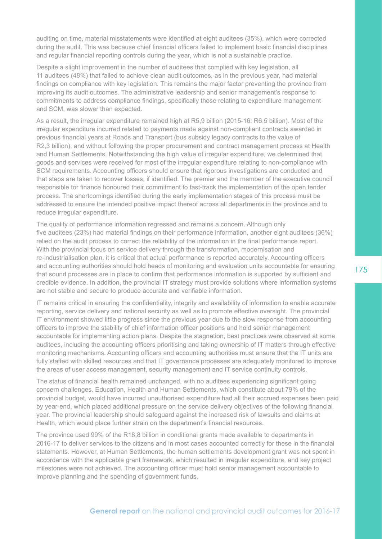auditing on time, material misstatements were identified at eight auditees (35%), which were corrected during the audit. This was because chief financial officers failed to implement basic financial disciplines and regular financial reporting controls during the year, which is not a sustainable practice.

Despite a slight improvement in the number of auditees that complied with key legislation, all 11 auditees (48%) that failed to achieve clean audit outcomes, as in the previous year, had material findings on compliance with key legislation. This remains the major factor preventing the province from improving its audit outcomes. The administrative leadership and senior management's response to commitments to address compliance findings, specifically those relating to expenditure management and SCM, was slower than expected.

As a result, the irregular expenditure remained high at R5,9 billion (2015-16: R6,5 billion). Most of the irregular expenditure incurred related to payments made against non-compliant contracts awarded in previous financial years at Roads and Transport (bus subsidy legacy contracts to the value of R2,3 billion), and without following the proper procurement and contract management process at Health and Human Settlements. Notwithstanding the high value of irregular expenditure, we determined that goods and services were received for most of the irregular expenditure relating to non-compliance with SCM requirements. Accounting officers should ensure that rigorous investigations are conducted and that steps are taken to recover losses, if identified. The premier and the member of the executive council responsible for finance honoured their commitment to fast-track the implementation of the open tender process. The shortcomings identified during the early implementation stages of this process must be addressed to ensure the intended positive impact thereof across all departments in the province and to reduce irregular expenditure.

The quality of performance information regressed and remains a concern. Although only five auditees (23%) had material findings on their performance information, another eight auditees (36%) relied on the audit process to correct the reliability of the information in the final performance report. With the provincial focus on service delivery through the transformation, modernisation and re-industrialisation plan, it is critical that actual performance is reported accurately. Accounting officers and accounting authorities should hold heads of monitoring and evaluation units accountable for ensuring that sound processes are in place to confirm that performance information is supported by sufficient and credible evidence. In addition, the provincial IT strategy must provide solutions where information systems are not stable and secure to produce accurate and verifiable information.

IT remains critical in ensuring the confidentiality, integrity and availability of information to enable accurate reporting, service delivery and national security as well as to promote effective oversight. The provincial IT environment showed little progress since the previous year due to the slow response from accounting officers to improve the stability of chief information officer positions and hold senior management accountable for implementing action plans. Despite the stagnation, best practices were observed at some auditees, including the accounting officers prioritising and taking ownership of IT matters through effective monitoring mechanisms. Accounting officers and accounting authorities must ensure that the IT units are fully staffed with skilled resources and that IT governance processes are adequately monitored to improve the areas of user access management, security management and IT service continuity controls.

The status of financial health remained unchanged, with no auditees experiencing significant going concern challenges. Education, Health and Human Settlements, which constitute about 79% of the provincial budget, would have incurred unauthorised expenditure had all their accrued expenses been paid by year-end, which placed additional pressure on the service delivery objectives of the following financial year. The provincial leadership should safeguard against the increased risk of lawsuits and claims at Health, which would place further strain on the department's financial resources.

The province used 99% of the R18,8 billion in conditional grants made available to departments in 2016-17 to deliver services to the citizens and in most cases accounted correctly for these in the financial statements. However, at Human Settlements, the human settlements development grant was not spent in accordance with the applicable grant framework, which resulted in irregular expenditure, and key project milestones were not achieved. The accounting officer must hold senior management accountable to improve planning and the spending of government funds.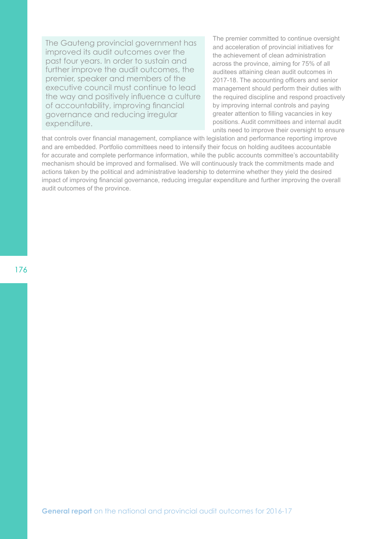The Gauteng provincial government has improved its audit outcomes over the past four years. In order to sustain and further improve the audit outcomes, the premier, speaker and members of the executive council must continue to lead the way and positively influence a culture of accountability, improving financial governance and reducing irregular expenditure.

The premier committed to continue oversight and acceleration of provincial initiatives for the achievement of clean administration across the province, aiming for 75% of all auditees attaining clean audit outcomes in 2017-18. The accounting officers and senior management should perform their duties with the required discipline and respond proactively by improving internal controls and paying greater attention to filling vacancies in key positions. Audit committees and internal audit units need to improve their oversight to ensure

that controls over financial management, compliance with legislation and performance reporting improve and are embedded. Portfolio committees need to intensify their focus on holding auditees accountable for accurate and complete performance information, while the public accounts committee's accountability mechanism should be improved and formalised. We will continuously track the commitments made and actions taken by the political and administrative leadership to determine whether they yield the desired impact of improving financial governance, reducing irregular expenditure and further improving the overall audit outcomes of the province.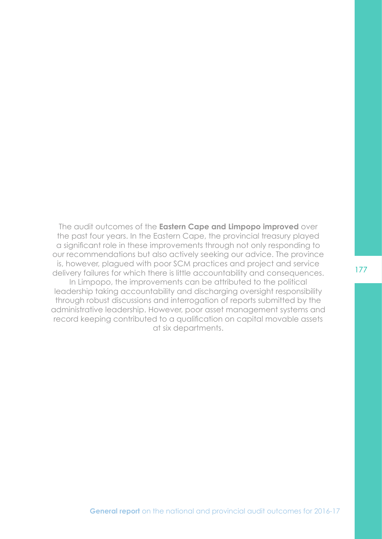The audit outcomes of the **Eastern Cape and Limpopo improved** over the past four years. In the Eastern Cape, the provincial treasury played a significant role in these improvements through not only responding to our recommendations but also actively seeking our advice. The province is, however, plagued with poor SCM practices and project and service delivery failures for which there is little accountability and consequences. In Limpopo, the improvements can be attributed to the political leadership taking accountability and discharging oversight responsibility through robust discussions and interrogation of reports submitted by the administrative leadership. However, poor asset management systems and record keeping contributed to a qualification on capital movable assets at six departments.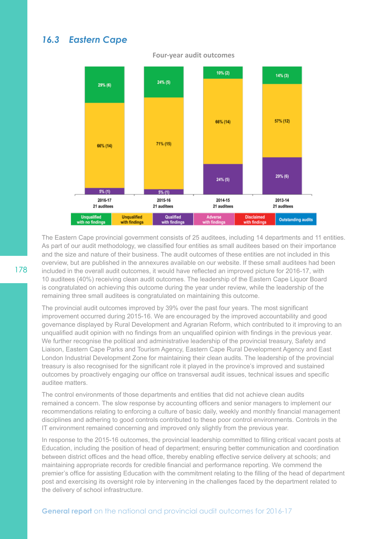### *16.3 Eastern Cape*



**Four-year audit outcomes**

The Eastern Cape provincial government consists of 25 auditees, including 14 departments and 11 entities. As part of our audit methodology, we classified four entities as small auditees based on their importance and the size and nature of their business. The audit outcomes of these entities are not included in this overview, but are published in the annexures available on our website. If these small auditees had been included in the overall audit outcomes, it would have reflected an improved picture for 2016-17, with 10 auditees (40%) receiving clean audit outcomes. The leadership of the Eastern Cape Liquor Board is congratulated on achieving this outcome during the year under review, while the leadership of the remaining three small auditees is congratulated on maintaining this outcome.

The provincial audit outcomes improved by 39% over the past four years. The most significant improvement occurred during 2015-16. We are encouraged by the improved accountability and good governance displayed by Rural Development and Agrarian Reform, which contributed to it improving to an unqualified audit opinion with no findings from an unqualified opinion with findings in the previous year. We further recognise the political and administrative leadership of the provincial treasury. Safety and Liaison, Eastern Cape Parks and Tourism Agency, Eastern Cape Rural Development Agency and East London Industrial Development Zone for maintaining their clean audits. The leadership of the provincial treasury is also recognised for the significant role it played in the province's improved and sustained outcomes by proactively engaging our office on transversal audit issues, technical issues and specific auditee matters.

The control environments of those departments and entities that did not achieve clean audits remained a concern. The slow response by accounting officers and senior managers to implement our recommendations relating to enforcing a culture of basic daily, weekly and monthly financial management disciplines and adhering to good controls contributed to these poor control environments. Controls in the IT environment remained concerning and improved only slightly from the previous year.

In response to the 2015-16 outcomes, the provincial leadership committed to filling critical vacant posts at Education, including the position of head of department; ensuring better communication and coordination between district offices and the head office, thereby enabling effective service delivery at schools; and maintaining appropriate records for credible financial and performance reporting. We commend the premier's office for assisting Education with the commitment relating to the filling of the head of department post and exercising its oversight role by intervening in the challenges faced by the department related to the delivery of school infrastructure.

#### **General report** on the national and provincial audit outcomes for 2016-17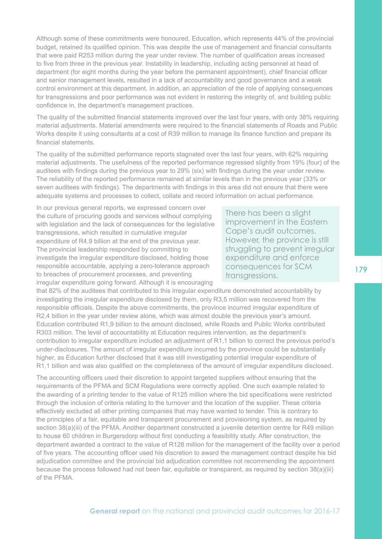Although some of these commitments were honoured, Education, which represents 44% of the provincial budget, retained its qualified opinion. This was despite the use of management and financial consultants that were paid R253 million during the year under review. The number of qualification areas increased to five from three in the previous year. Instability in leadership, including acting personnel at head of department (for eight months during the year before the permanent appointment), chief financial officer and senior management levels, resulted in a lack of accountability and good governance and a weak control environment at this department. In addition, an appreciation of the role of applying consequences for transgressions and poor performance was not evident in restoring the integrity of, and building public confidence in, the department's management practices.

The quality of the submitted financial statements improved over the last four years, with only 38% requiring material adjustments. Material amendments were required to the financial statements of Roads and Public Works despite it using consultants at a cost of R39 million to manage its finance function and prepare its financial statements.

The quality of the submitted performance reports stagnated over the last four years, with 62% requiring material adjustments. The usefulness of the reported performance regressed slightly from 19% (four) of the auditees with findings during the previous year to 29% (six) with findings during the year under review. The reliability of the reported performance remained at similar levels than in the previous year (33% or seven auditees with findings). The departments with findings in this area did not ensure that there were adequate systems and processes to collect, collate and record information on actual performance.

In our previous general reports, we expressed concern over the culture of procuring goods and services without complying with legislation and the lack of consequences for the legislative transgressions, which resulted in cumulative irregular expenditure of R4,9 billion at the end of the previous year. The provincial leadership responded by committing to investigate the irregular expenditure disclosed, holding those responsible accountable, applying a zero-tolerance approach to breaches of procurement processes, and preventing irregular expenditure going forward. Although it is encouraging

There has been a slight improvement in the Eastern Cape's audit outcomes. However, the province is still struggling to prevent irregular expenditure and enforce consequences for SCM transgressions.

that 82% of the auditees that contributed to this irregular expenditure demonstrated accountability by investigating the irregular expenditure disclosed by them, only R3,5 million was recovered from the responsible officials. Despite the above commitments, the province incurred irregular expenditure of R2,4 billion in the year under review alone, which was almost double the previous year's amount. Education contributed R1,9 billion to the amount disclosed, while Roads and Public Works contributed R303 million. The level of accountability at Education requires intervention, as the department's contribution to irregular expenditure included an adjustment of R1,1 billion to correct the previous period's under-disclosures. The amount of irregular expenditure incurred by the province could be substantially higher, as Education further disclosed that it was still investigating potential irregular expenditure of R1,1 billion and was also qualified on the completeness of the amount of irregular expenditure disclosed.

The accounting officers used their discretion to appoint targeted suppliers without ensuring that the requirements of the PFMA and SCM Regulations were correctly applied. One such example related to the awarding of a printing tender to the value of R125 million where the bid specifications were restricted through the inclusion of criteria relating to the turnover and the location of the supplier. These criteria effectively excluded all other printing companies that may have wanted to tender. This is contrary to the principles of a fair, equitable and transparent procurement and provisioning system, as required by section 38(a)(iii) of the PFMA. Another department constructed a juvenile detention centre for R49 million to house 60 children in Burgersdorp without first conducting a feasibility study. After construction, the department awarded a contract to the value of R128 million for the management of the facility over a period of five years. The accounting officer used his discretion to award the management contract despite his bid adjudication committee and the provincial bid adjudication committee not recommending the appointment because the process followed had not been fair, equitable or transparent, as required by section 38(a)(iii) of the PFMA.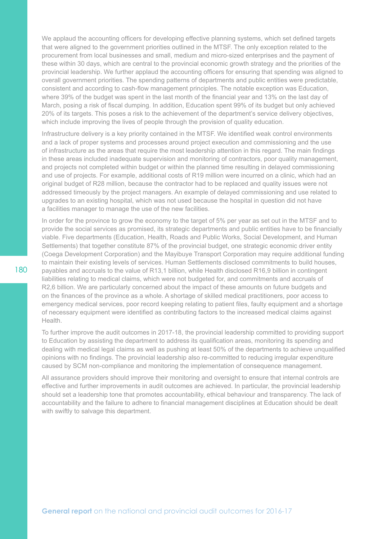We applaud the accounting officers for developing effective planning systems, which set defined targets that were aligned to the government priorities outlined in the MTSF. The only exception related to the procurement from local businesses and small, medium and micro-sized enterprises and the payment of these within 30 days, which are central to the provincial economic growth strategy and the priorities of the provincial leadership. We further applaud the accounting officers for ensuring that spending was aligned to overall government priorities. The spending patterns of departments and public entities were predictable, consistent and according to cash-flow management principles. The notable exception was Education, where 39% of the budget was spent in the last month of the financial year and 13% on the last day of March, posing a risk of fiscal dumping. In addition, Education spent 99% of its budget but only achieved 20% of its targets. This poses a risk to the achievement of the department's service delivery objectives, which include improving the lives of people through the provision of quality education.

Infrastructure delivery is a key priority contained in the MTSF. We identified weak control environments and a lack of proper systems and processes around project execution and commissioning and the use of infrastructure as the areas that require the most leadership attention in this regard. The main findings in these areas included inadequate supervision and monitoring of contractors, poor quality management, and projects not completed within budget or within the planned time resulting in delayed commissioning and use of projects. For example, additional costs of R19 million were incurred on a clinic, which had an original budget of R28 million, because the contractor had to be replaced and quality issues were not addressed timeously by the project managers. An example of delayed commissioning and use related to upgrades to an existing hospital, which was not used because the hospital in question did not have a facilities manager to manage the use of the new facilities.

In order for the province to grow the economy to the target of 5% per year as set out in the MTSF and to provide the social services as promised, its strategic departments and public entities have to be financially viable. Five departments (Education, Health, Roads and Public Works, Social Development, and Human Settlements) that together constitute 87% of the provincial budget, one strategic economic driver entity (Coega Development Corporation) and the Mayibuye Transport Corporation may require additional funding to maintain their existing levels of services. Human Settlements disclosed commitments to build houses, payables and accruals to the value of R13,1 billion, while Health disclosed R16,9 billion in contingent liabilities relating to medical claims, which were not budgeted for, and commitments and accruals of R2,6 billion. We are particularly concerned about the impact of these amounts on future budgets and on the finances of the province as a whole. A shortage of skilled medical practitioners, poor access to emergency medical services, poor record keeping relating to patient files, faulty equipment and a shortage of necessary equipment were identified as contributing factors to the increased medical claims against Health.

To further improve the audit outcomes in 2017-18, the provincial leadership committed to providing support to Education by assisting the department to address its qualification areas, monitoring its spending and dealing with medical legal claims as well as pushing at least 50% of the departments to achieve unqualified opinions with no findings. The provincial leadership also re-committed to reducing irregular expenditure caused by SCM non-compliance and monitoring the implementation of consequence management.

All assurance providers should improve their monitoring and oversight to ensure that internal controls are effective and further improvements in audit outcomes are achieved. In particular, the provincial leadership should set a leadership tone that promotes accountability, ethical behaviour and transparency. The lack of accountability and the failure to adhere to financial management disciplines at Education should be dealt with swiftly to salvage this department.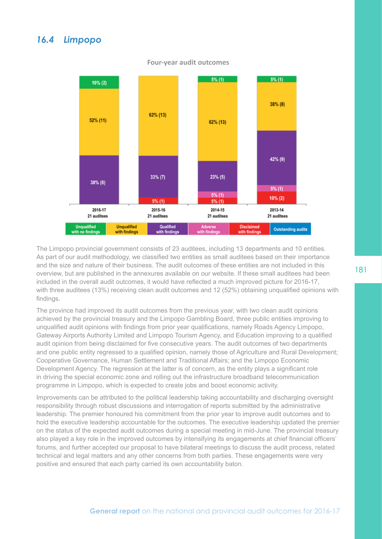### *16.4 Limpopo*



#### **Four-year audit outcomes**

The Limpopo provincial government consists of 23 auditees, including 13 departments and 10 entities. As part of our audit methodology, we classified two entities as small auditees based on their importance and the size and nature of their business. The audit outcomes of these entities are not included in this overview, but are published in the annexures available on our website. If these small auditees had been included in the overall audit outcomes, it would have reflected a much improved picture for 2016-17, with three auditees (13%) receiving clean audit outcomes and 12 (52%) obtaining unqualified opinions with findings.

The province had improved its audit outcomes from the previous year, with two clean audit opinions achieved by the provincial treasury and the Limpopo Gambling Board, three public entities improving to unqualified audit opinions with findings from prior year qualifications, namely Roads Agency Limpopo, Gateway Airports Authority Limited and Limpopo Tourism Agency, and Education improving to a qualified audit opinion from being disclaimed for five consecutive years. The audit outcomes of two departments and one public entity regressed to a qualified opinion, namely those of Agriculture and Rural Development; Cooperative Governance, Human Settlement and Traditional Affairs; and the Limpopo Economic Development Agency. The regression at the latter is of concern, as the entity plays a significant role in driving the special economic zone and rolling out the infrastructure broadband telecommunication programme in Limpopo, which is expected to create jobs and boost economic activity.

Improvements can be attributed to the political leadership taking accountability and discharging oversight responsibility through robust discussions and interrogation of reports submitted by the administrative leadership. The premier honoured his commitment from the prior year to improve audit outcomes and to hold the executive leadership accountable for the outcomes. The executive leadership updated the premier on the status of the expected audit outcomes during a special meeting in mid-June. The provincial treasury also played a key role in the improved outcomes by intensifying its engagements at chief financial officers' forums, and further accepted our proposal to have bilateral meetings to discuss the audit process, related technical and legal matters and any other concerns from both parties. These engagements were very positive and ensured that each party carried its own accountability baton.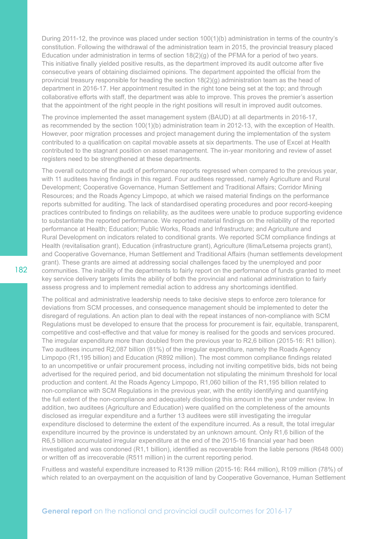During 2011-12, the province was placed under section 100(1)(b) administration in terms of the country's constitution. Following the withdrawal of the administration team in 2015, the provincial treasury placed Education under administration in terms of section  $18(2)(q)$  of the PFMA for a period of two years. This initiative finally yielded positive results, as the department improved its audit outcome after five consecutive years of obtaining disclaimed opinions. The department appointed the official from the provincial treasury responsible for heading the section 18(2)(g) administration team as the head of department in 2016-17. Her appointment resulted in the right tone being set at the top; and through collaborative efforts with staff, the department was able to improve. This proves the premier's assertion that the appointment of the right people in the right positions will result in improved audit outcomes.

The province implemented the asset management system (BAUD) at all departments in 2016-17, as recommended by the section 100(1)(b) administration team in 2012-13, with the exception of Health. However, poor migration processes and project management during the implementation of the system contributed to a qualification on capital movable assets at six departments. The use of Excel at Health contributed to the stagnant position on asset management. The in-year monitoring and review of asset registers need to be strengthened at these departments.

The overall outcome of the audit of performance reports regressed when compared to the previous year, with 11 auditees having findings in this regard. Four auditees regressed, namely Agriculture and Rural Development; Cooperative Governance, Human Settlement and Traditional Affairs; Corridor Mining Resources; and the Roads Agency Limpopo, at which we raised material findings on the performance reports submitted for auditing. The lack of standardised operating procedures and poor record-keeping practices contributed to findings on reliability, as the auditees were unable to produce supporting evidence to substantiate the reported performance. We reported material findings on the reliability of the reported performance at Health; Education; Public Works, Roads and Infrastructure; and Agriculture and Rural Development on indicators related to conditional grants. We reported SCM compliance findings at Health (revitalisation grant), Education (infrastructure grant), Agriculture (llima/Letsema projects grant), and Cooperative Governance, Human Settlement and Traditional Affairs (human settlements development grant). These grants are aimed at addressing social challenges faced by the unemployed and poor communities. The inability of the departments to fairly report on the performance of funds granted to meet key service delivery targets limits the ability of both the provincial and national administration to fairly assess progress and to implement remedial action to address any shortcomings identified.

The political and administrative leadership needs to take decisive steps to enforce zero tolerance for deviations from SCM processes, and consequence management should be implemented to deter the disregard of regulations. An action plan to deal with the repeat instances of non-compliance with SCM Regulations must be developed to ensure that the process for procurement is fair, equitable, transparent, competitive and cost-effective and that value for money is realised for the goods and services procured. The irregular expenditure more than doubled from the previous year to R2,6 billion (2015-16: R1 billion). Two auditees incurred R2,087 billion (81%) of the irregular expenditure, namely the Roads Agency Limpopo (R1,195 billion) and Education (R892 million). The most common compliance findings related to an uncompetitive or unfair procurement process, including not inviting competitive bids, bids not being advertised for the required period, and bid documentation not stipulating the minimum threshold for local production and content. At the Roads Agency Limpopo, R1,060 billion of the R1,195 billion related to non-compliance with SCM Regulations in the previous year, with the entity identifying and quantifying the full extent of the non-compliance and adequately disclosing this amount in the year under review. In addition, two auditees (Agriculture and Education) were qualified on the completeness of the amounts disclosed as irregular expenditure and a further 13 auditees were still investigating the irregular expenditure disclosed to determine the extent of the expenditure incurred. As a result, the total irregular expenditure incurred by the province is understated by an unknown amount. Only R1,6 billion of the R6,5 billion accumulated irregular expenditure at the end of the 2015-16 financial year had been investigated and was condoned (R1,1 billion), identified as recoverable from the liable persons (R648 000) or written off as irrecoverable (R511 million) in the current reporting period.

Fruitless and wasteful expenditure increased to R139 million (2015-16: R44 million), R109 million (78%) of which related to an overpayment on the acquisition of land by Cooperative Governance, Human Settlement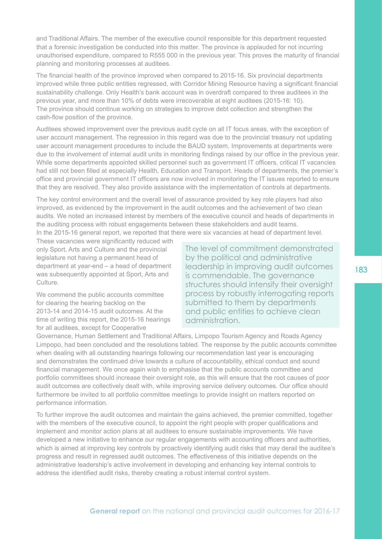and Traditional Affairs. The member of the executive council responsible for this department requested that a forensic investigation be conducted into this matter. The province is applauded for not incurring unauthorised expenditure, compared to R555 000 in the previous year. This proves the maturity of financial planning and monitoring processes at auditees.

The financial health of the province improved when compared to 2015-16. Six provincial departments improved while three public entities regressed, with Corridor Mining Resource having a significant financial sustainability challenge. Only Health's bank account was in overdraft compared to three auditees in the previous year, and more than 10% of debts were irrecoverable at eight auditees (2015-16: 10). The province should continue working on strategies to improve debt collection and strengthen the cash-flow position of the province.

Auditees showed improvement over the previous audit cycle on all IT focus areas, with the exception of user account management. The regression in this regard was due to the provincial treasury not updating user account management procedures to include the BAUD system. Improvements at departments were due to the involvement of internal audit units in monitoring findings raised by our office in the previous year. While some departments appointed skilled personnel such as government IT officers, critical IT vacancies had still not been filled at especially Health, Education and Transport. Heads of departments, the premier's office and provincial government IT officers are now involved in monitoring the IT issues reported to ensure that they are resolved. They also provide assistance with the implementation of controls at departments.

The key control environment and the overall level of assurance provided by key role players had also improved, as evidenced by the improvement in the audit outcomes and the achievement of two clean audits. We noted an increased interest by members of the executive council and heads of departments in the auditing process with robust engagements between these stakeholders and audit teams. In the 2015-16 general report, we reported that there were six vacancies at head of department level.

These vacancies were significantly reduced with only Sport, Arts and Culture and the provincial legislature not having a permanent head of department at year-end – a head of department was subsequently appointed at Sport, Arts and Culture.

We commend the public accounts committee for clearing the hearing backlog on the 2013-14 and 2014-15 audit outcomes. At the time of writing this report, the 2015-16 hearings for all auditees, except for Cooperative

The level of commitment demonstrated by the political and administrative leadership in improving audit outcomes is commendable. The governance structures should intensify their oversight process by robustly interrogating reports submitted to them by departments and public entities to achieve clean administration.

Governance, Human Settlement and Traditional Affairs, Limpopo Tourism Agency and Roads Agency Limpopo, had been concluded and the resolutions tabled. The response by the public accounts committee when dealing with all outstanding hearings following our recommendation last year is encouraging and demonstrates the continued drive towards a culture of accountability, ethical conduct and sound financial management. We once again wish to emphasise that the public accounts committee and portfolio committees should increase their oversight role, as this will ensure that the root causes of poor audit outcomes are collectively dealt with, while improving service delivery outcomes. Our office should furthermore be invited to all portfolio committee meetings to provide insight on matters reported on performance information.

To further improve the audit outcomes and maintain the gains achieved, the premier committed, together with the members of the executive council, to appoint the right people with proper qualifications and implement and monitor action plans at all auditees to ensure sustainable improvements. We have developed a new initiative to enhance our regular engagements with accounting officers and authorities, which is aimed at improving key controls by proactively identifying audit risks that may derail the auditee's progress and result in regressed audit outcomes. The effectiveness of this initiative depends on the administrative leadership's active involvement in developing and enhancing key internal controls to address the identified audit risks, thereby creating a robust internal control system.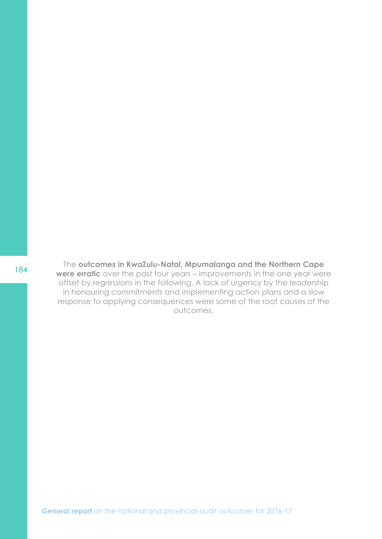<sup>184</sup> The **outcomes in KwaZulu-Natal, Mpumalanga and the Northern Cape were erratic** over the past four years – improvements in the one year were offset by regressions in the following. A lack of urgency by the leadership in honouring commitments and implementing action plans and a slow response to applying consequences were some of the root causes of the outcomes.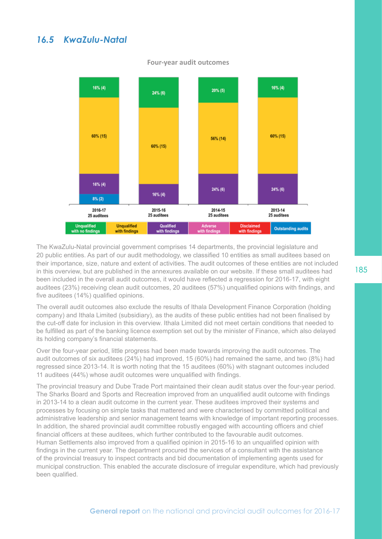### *16.5 KwaZulu-Natal*



**Four-year audit outcomes**

The KwaZulu-Natal provincial government comprises 14 departments, the provincial legislature and 20 public entities. As part of our audit methodology, we classified 10 entities as small auditees based on their importance, size, nature and extent of activities. The audit outcomes of these entities are not included in this overview, but are published in the annexures available on our website. If these small auditees had been included in the overall audit outcomes, it would have reflected a regression for 2016-17, with eight auditees (23%) receiving clean audit outcomes, 20 auditees (57%) unqualified opinions with findings, and five auditees (14%) qualified opinions.

The overall audit outcomes also exclude the results of Ithala Development Finance Corporation (holding company) and Ithala Limited (subsidiary), as the audits of these public entities had not been finalised by the cut-off date for inclusion in this overview. Ithala Limited did not meet certain conditions that needed to be fulfilled as part of the banking licence exemption set out by the minister of Finance, which also delayed its holding company's financial statements.

Over the four-year period, little progress had been made towards improving the audit outcomes. The audit outcomes of six auditees (24%) had improved, 15 (60%) had remained the same, and two (8%) had regressed since 2013-14. It is worth noting that the 15 auditees (60%) with stagnant outcomes included 11 auditees (44%) whose audit outcomes were unqualified with findings.

The provincial treasury and Dube Trade Port maintained their clean audit status over the four-year period. The Sharks Board and Sports and Recreation improved from an unqualified audit outcome with findings in 2013-14 to a clean audit outcome in the current year. These auditees improved their systems and processes by focusing on simple tasks that mattered and were characterised by committed political and administrative leadership and senior management teams with knowledge of important reporting processes. In addition, the shared provincial audit committee robustly engaged with accounting officers and chief financial officers at these auditees, which further contributed to the favourable audit outcomes. Human Settlements also improved from a qualified opinion in 2015-16 to an unqualified opinion with findings in the current year. The department procured the services of a consultant with the assistance of the provincial treasury to inspect contracts and bid documentation of implementing agents used for municipal construction. This enabled the accurate disclosure of irregular expenditure, which had previously been qualified.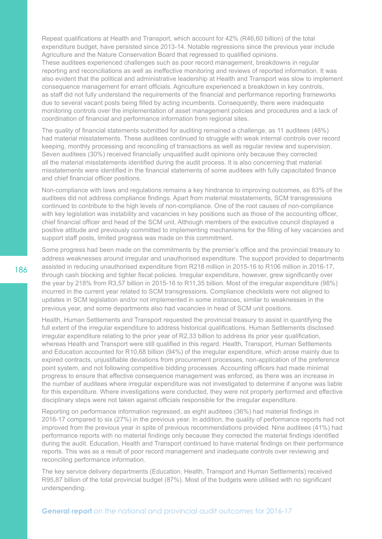Repeat qualifications at Health and Transport, which account for 42% (R46,60 billion) of the total expenditure budget, have persisted since 2013-14. Notable regressions since the previous year include Agriculture and the Nature Conservation Board that regressed to qualified opinions. These auditees experienced challenges such as poor record management, breakdowns in regular reporting and reconciliations as well as ineffective monitoring and reviews of reported information. It was also evident that the political and administrative leadership at Health and Transport was slow to implement consequence management for errant officials. Agriculture experienced a breakdown in key controls, as staff did not fully understand the requirements of the financial and performance reporting frameworks due to several vacant posts being filled by acting incumbents. Consequently, there were inadequate monitoring controls over the implementation of asset management policies and procedures and a lack of coordination of financial and performance information from regional sites.

The quality of financial statements submitted for auditing remained a challenge, as 11 auditees (48%) had material misstatements. These auditees continued to struggle with weak internal controls over record keeping, monthly processing and reconciling of transactions as well as regular review and supervision. Seven auditees (30%) received financially unqualified audit opinions only because they corrected all the material misstatements identified during the audit process. It is also concerning that material misstatements were identified in the financial statements of some auditees with fully capacitated finance and chief financial officer positions.

Non-compliance with laws and regulations remains a key hindrance to improving outcomes, as 83% of the auditees did not address compliance findings. Apart from material misstatements, SCM transgressions continued to contribute to the high levels of non-compliance. One of the root causes of non-compliance with key legislation was instability and vacancies in key positions such as those of the accounting officer, chief financial officer and head of the SCM unit. Although members of the executive council displayed a positive attitude and previously committed to implementing mechanisms for the filling of key vacancies and support staff posts, limited progress was made on this commitment.

Some progress had been made on the commitments by the premier's office and the provincial treasury to address weaknesses around irregular and unauthorised expenditure. The support provided to departments assisted in reducing unauthorised expenditure from R218 million in 2015-16 to R106 million in 2016-17, through cash blocking and tighter fiscal policies. Irregular expenditure, however, grew significantly over the year by 218% from R3,57 billion in 2015-16 to R11,35 billion. Most of the irregular expenditure (98%) incurred in the current year related to SCM transgressions. Compliance checklists were not aligned to updates in SCM legislation and/or not implemented in some instances, similar to weaknesses in the previous year, and some departments also had vacancies in head of SCM unit positions.

Health, Human Settlements and Transport requested the provincial treasury to assist in quantifying the full extent of the irregular expenditure to address historical qualifications. Human Settlements disclosed irregular expenditure relating to the prior year of R2,33 billion to address its prior year qualification, whereas Health and Transport were still qualified in this regard. Health, Transport, Human Settlements and Education accounted for R10,68 billion (94%) of the irregular expenditure, which arose mainly due to expired contracts, unjustifiable deviations from procurement processes, non-application of the preference point system, and not following competitive bidding processes. Accounting officers had made minimal progress to ensure that effective consequence management was enforced, as there was an increase in the number of auditees where irregular expenditure was not investigated to determine if anyone was liable for this expenditure. Where investigations were conducted, they were not properly performed and effective disciplinary steps were not taken against officials responsible for the irregular expenditure.

Reporting on performance information regressed, as eight auditees (36%) had material findings in 2016-17 compared to six (27%) in the previous year. In addition, the quality of performance reports had not improved from the previous year in spite of previous recommendations provided. Nine auditees (41%) had performance reports with no material findings only because they corrected the material findings identified during the audit. Education, Health and Transport continued to have material findings on their performance reports. This was as a result of poor record management and inadequate controls over reviewing and reconciling performance information.

The key service delivery departments (Education, Health, Transport and Human Settlements) received R95,87 billion of the total provincial budget (87%). Most of the budgets were utilised with no significant underspending.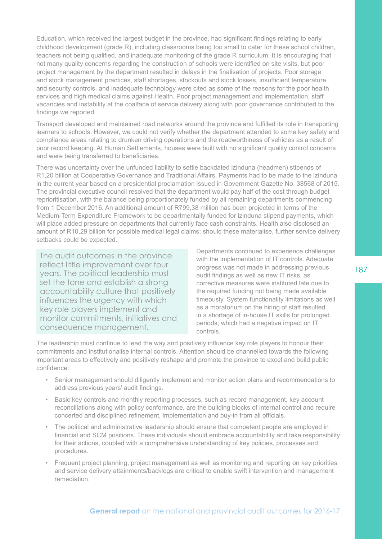Education, which received the largest budget in the province, had significant findings relating to early childhood development (grade R), including classrooms being too small to cater for these school children, teachers not being qualified, and inadequate monitoring of the grade R curriculum. It is encouraging that not many quality concerns regarding the construction of schools were identified on site visits, but poor project management by the department resulted in delays in the finalisation of projects. Poor storage and stock management practices, staff shortages, stockouts and stock losses, insufficient temperature and security controls, and inadequate technology were cited as some of the reasons for the poor health services and high medical claims against Health. Poor project management and implementation, staff vacancies and instability at the coalface of service delivery along with poor governance contributed to the findings we reported.

Transport developed and maintained road networks around the province and fulfilled its role in transporting learners to schools. However, we could not verify whether the department attended to some key safety and compliance areas relating to drunken driving operations and the roadworthiness of vehicles as a result of poor record keeping. At Human Settlements, houses were built with no significant quality control concerns and were being transferred to beneficiaries.

There was uncertainty over the unfunded liability to settle backdated izinduna (headmen) stipends of R1,20 billion at Cooperative Governance and Traditional Affairs. Payments had to be made to the izinduna in the current year based on a presidential proclamation issued in Government Gazette No. 38568 of 2015. The provincial executive council resolved that the department would pay half of the cost through budget reprioritisation, with the balance being proportionately funded by all remaining departments commencing from 1 December 2016. An additional amount of R799,38 million has been projected in terms of the Medium-Term Expenditure Framework to be departmentally funded for izinduna stipend payments, which will place added pressure on departments that currently face cash constraints. Health also disclosed an amount of R10,29 billion for possible medical legal claims; should these materialise, further service delivery setbacks could be expected.

The audit outcomes in the province reflect little improvement over four years. The political leadership must set the tone and establish a strong accountability culture that positively influences the urgency with which key role players implement and monitor commitments, initiatives and consequence management.

Departments continued to experience challenges with the implementation of IT controls. Adequate progress was not made in addressing previous audit findings as well as new IT risks, as corrective measures were instituted late due to the required funding not being made available timeously. System functionality limitations as well as a moratorium on the hiring of staff resulted in a shortage of in-house IT skills for prolonged periods, which had a negative impact on IT controls.

The leadership must continue to lead the way and positively influence key role players to honour their commitments and institutionalise internal controls. Attention should be channelled towards the following important areas to effectively and positively reshape and promote the province to excel and build public confidence:

- Senior management should diligently implement and monitor action plans and recommendations to address previous years' audit findings.
- Basic key controls and monthly reporting processes, such as record management, key account reconciliations along with policy conformance, are the building blocks of internal control and require concerted and disciplined refinement, implementation and buy-in from all officials.
- The political and administrative leadership should ensure that competent people are employed in financial and SCM positions. These individuals should embrace accountability and take responsibility for their actions, coupled with a comprehensive understanding of key policies, processes and procedures.
- Frequent project planning, project management as well as monitoring and reporting on key priorities and service delivery attainments/backlogs are critical to enable swift intervention and management remediation.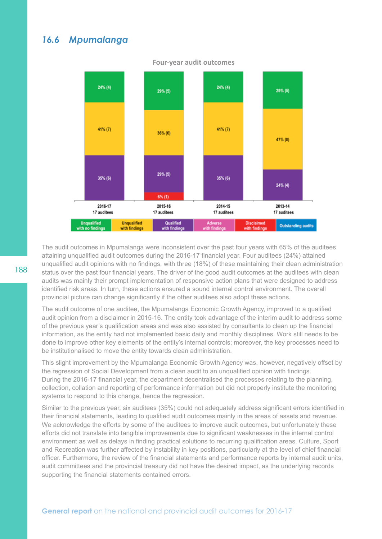### *16.6 Mpumalanga*



#### **Four-year audit outcomes**

The audit outcomes in Mpumalanga were inconsistent over the past four years with 65% of the auditees attaining unqualified audit outcomes during the 2016-17 financial year. Four auditees (24%) attained unqualified audit opinions with no findings, with three (18%) of these maintaining their clean administration status over the past four financial years. The driver of the good audit outcomes at the auditees with clean audits was mainly their prompt implementation of responsive action plans that were designed to address identified risk areas. In turn, these actions ensured a sound internal control environment. The overall provincial picture can change significantly if the other auditees also adopt these actions.

The audit outcome of one auditee, the Mpumalanga Economic Growth Agency, improved to a qualified audit opinion from a disclaimer in 2015-16. The entity took advantage of the interim audit to address some of the previous year's qualification areas and was also assisted by consultants to clean up the financial information, as the entity had not implemented basic daily and monthly disciplines. Work still needs to be done to improve other key elements of the entity's internal controls; moreover, the key processes need to be institutionalised to move the entity towards clean administration.

This slight improvement by the Mpumalanga Economic Growth Agency was, however, negatively offset by the regression of Social Development from a clean audit to an unqualified opinion with findings. During the 2016-17 financial year, the department decentralised the processes relating to the planning, collection, collation and reporting of performance information but did not properly institute the monitoring systems to respond to this change, hence the regression.

Similar to the previous year, six auditees (35%) could not adequately address significant errors identified in their financial statements, leading to qualified audit outcomes mainly in the areas of assets and revenue. We acknowledge the efforts by some of the auditees to improve audit outcomes, but unfortunately these efforts did not translate into tangible improvements due to significant weaknesses in the internal control environment as well as delays in finding practical solutions to recurring qualification areas. Culture, Sport and Recreation was further affected by instability in key positions, particularly at the level of chief financial officer. Furthermore, the review of the financial statements and performance reports by internal audit units, audit committees and the provincial treasury did not have the desired impact, as the underlying records supporting the financial statements contained errors.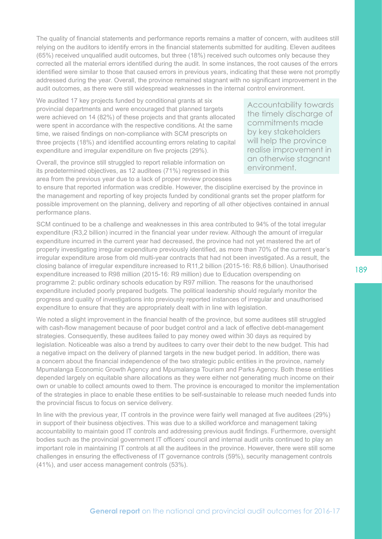The quality of financial statements and performance reports remains a matter of concern, with auditees still relying on the auditors to identify errors in the financial statements submitted for auditing. Eleven auditees (65%) received unqualified audit outcomes, but three (18%) received such outcomes only because they corrected all the material errors identified during the audit. In some instances, the root causes of the errors identified were similar to those that caused errors in previous years, indicating that these were not promptly addressed during the year. Overall, the province remained stagnant with no significant improvement in the audit outcomes, as there were still widespread weaknesses in the internal control environment.

We audited 17 key projects funded by conditional grants at six provincial departments and were encouraged that planned targets were achieved on 14 (82%) of these projects and that grants allocated were spent in accordance with the respective conditions. At the same time, we raised findings on non-compliance with SCM prescripts on three projects (18%) and identified accounting errors relating to capital expenditure and irregular expenditure on five projects (29%).

Overall, the province still struggled to report reliable information on its predetermined objectives, as 12 auditees (71%) regressed in this area from the previous year due to a lack of proper review processes

Accountability towards the timely discharge of commitments made by key stakeholders will help the province realise improvement in an otherwise stagnant environment.

to ensure that reported information was credible. However, the discipline exercised by the province in the management and reporting of key projects funded by conditional grants set the proper platform for possible improvement on the planning, delivery and reporting of all other objectives contained in annual performance plans.

SCM continued to be a challenge and weaknesses in this area contributed to 94% of the total irregular expenditure (R3,2 billion) incurred in the financial year under review. Although the amount of irregular expenditure incurred in the current year had decreased, the province had not yet mastered the art of properly investigating irregular expenditure previously identified, as more than 70% of the current year's irregular expenditure arose from old multi-year contracts that had not been investigated. As a result, the closing balance of irregular expenditure increased to R11,2 billion (2015-16: R8,6 billion). Unauthorised expenditure increased to R98 million (2015-16: R9 million) due to Education overspending on programme 2: public ordinary schools education by R97 million. The reasons for the unauthorised expenditure included poorly prepared budgets. The political leadership should regularly monitor the progress and quality of investigations into previously reported instances of irregular and unauthorised expenditure to ensure that they are appropriately dealt with in line with legislation.

We noted a slight improvement in the financial health of the province, but some auditees still struggled with cash-flow management because of poor budget control and a lack of effective debt-management strategies. Consequently, these auditees failed to pay money owed within 30 days as required by legislation. Noticeable was also a trend by auditees to carry over their debt to the new budget. This had a negative impact on the delivery of planned targets in the new budget period. In addition, there was a concern about the financial independence of the two strategic public entities in the province, namely Mpumalanga Economic Growth Agency and Mpumalanga Tourism and Parks Agency. Both these entities depended largely on equitable share allocations as they were either not generating much income on their own or unable to collect amounts owed to them. The province is encouraged to monitor the implementation of the strategies in place to enable these entities to be self-sustainable to release much needed funds into the provincial fiscus to focus on service delivery.

In line with the previous year, IT controls in the province were fairly well managed at five auditees (29%) in support of their business objectives. This was due to a skilled workforce and management taking accountability to maintain good IT controls and addressing previous audit findings. Furthermore, oversight bodies such as the provincial government IT officers' council and internal audit units continued to play an important role in maintaining IT controls at all the auditees in the province. However, there were still some challenges in ensuring the effectiveness of IT governance controls (59%), security management controls (41%), and user access management controls (53%).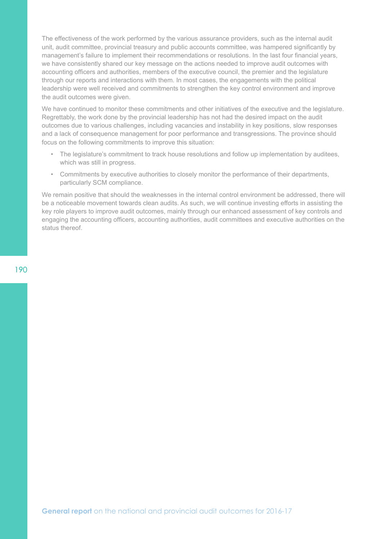The effectiveness of the work performed by the various assurance providers, such as the internal audit unit, audit committee, provincial treasury and public accounts committee, was hampered significantly by management's failure to implement their recommendations or resolutions. In the last four financial years, we have consistently shared our key message on the actions needed to improve audit outcomes with accounting officers and authorities, members of the executive council, the premier and the legislature through our reports and interactions with them. In most cases, the engagements with the political leadership were well received and commitments to strengthen the key control environment and improve the audit outcomes were given.

We have continued to monitor these commitments and other initiatives of the executive and the legislature. Regrettably, the work done by the provincial leadership has not had the desired impact on the audit outcomes due to various challenges, including vacancies and instability in key positions, slow responses and a lack of consequence management for poor performance and transgressions. The province should focus on the following commitments to improve this situation:

- The legislature's commitment to track house resolutions and follow up implementation by auditees, which was still in progress.
- Commitments by executive authorities to closely monitor the performance of their departments, particularly SCM compliance.

We remain positive that should the weaknesses in the internal control environment be addressed, there will be a noticeable movement towards clean audits. As such, we will continue investing efforts in assisting the key role players to improve audit outcomes, mainly through our enhanced assessment of key controls and engaging the accounting officers, accounting authorities, audit committees and executive authorities on the status thereof.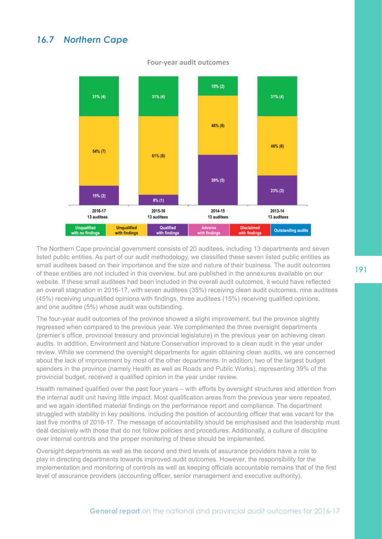# *16.7 Northern Cape*



#### **Four-year audit outcomes**

The Northern Cape provincial government consists of 20 auditees, including 13 departments and seven listed public entities. As part of our audit methodology, we classified these seven listed public entities as small auditees based on their importance and the size and nature of their business. The audit outcomes of these entities are not included in this overview, but are published in the annexures available on our website. If these small auditees had been included in the overall audit outcomes, it would have reflected an overall stagnation in 2016-17, with seven auditees (35%) receiving clean audit outcomes, nine auditees (45%) receiving unqualified opinions with findings, three auditees (15%) receiving qualified opinions, and one auditee (5%) whose audit was outstanding.

The four-year audit outcomes of the province showed a slight improvement, but the province slightly regressed when compared to the previous year. We complimented the three oversight departments (premier's office, provincial treasury and provincial legislature) in the previous year on achieving clean audits. In addition, Environment and Nature Conservation improved to a clean audit in the year under review. While we commend the oversight departments for again obtaining clean audits, we are concerned about the lack of improvement by most of the other departments. In addition, two of the largest budget spenders in the province (namely Health as well as Roads and Public Works), representing 39% of the provincial budget, received a qualified opinion in the year under review.

Health remained qualified over the past four years – with efforts by oversight structures and attention from the internal audit unit having little impact. Most qualification areas from the previous year were repeated, and we again identified material findings on the performance report and compliance. The department struggled with stability in key positions, including the position of accounting officer that was vacant for the last five months of 2016-17. The message of accountability should be emphasised and the leadership must deal decisively with those that do not follow policies and procedures. Additionally, a culture of discipline over internal controls and the proper monitoring of these should be implemented.

Oversight departments as well as the second and third levels of assurance providers have a role to play in directing departments towards improved audit outcomes. However, the responsibility for the implementation and monitoring of controls as well as keeping officials accountable remains that of the first level of assurance providers (accounting officer, senior management and executive authority).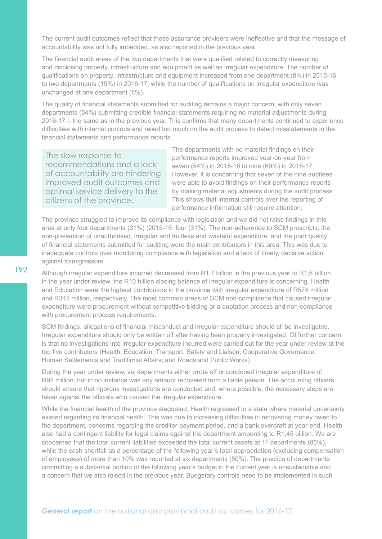The current audit outcomes reflect that these assurance providers were ineffective and that the message of accountability was not fully imbedded, as also reported in the previous year.

The financial audit areas of the two departments that were qualified related to correctly measuring and disclosing property, infrastructure and equipment as well as irregular expenditure. The number of qualifications on property, infrastructure and equipment increased from one department (8%) in 2015-16 to two departments (15%) in 2016-17, while the number of qualifications on irregular expenditure was unchanged at one department (8%).

The quality of financial statements submitted for auditing remains a major concern, with only seven departments (54%) submitting credible financial statements requiring no material adjustments during 2016-17 – the same as in the previous year. This confirms that many departments continued to experience difficulties with internal controls and relied too much on the audit process to detect misstatements in the financial statements and performance reports.

The slow response to recommendations and a lack of accountability are hindering improved audit outcomes and optimal service delivery to the citizens of the province.

The departments with no material findings on their performance reports improved year-on-year from seven (54%) in 2015-16 to nine (69%) in 2016-17. However, it is concerning that seven of the nine auditees were able to avoid findings on their performance reports by making material adjustments during the audit process. This shows that internal controls over the reporting of performance information still require attention.

The province struggled to improve its compliance with legislation and we did not raise findings in this area at only four departments (31%) (2015-16: four (31%). The non-adherence to SCM prescripts; the non-prevention of unauthorised, irregular and fruitless and wasteful expenditure; and the poor quality of financial statements submitted for auditing were the main contributors in this area. This was due to inadequate controls over monitoring compliance with legislation and a lack of timely, decisive action against transgressors.

Although irregular expenditure incurred decreased from R1,7 billion in the previous year to R1,6 billion in the year under review, the R10 billion closing balance of irregular expenditure is concerning. Health and Education were the highest contributors in the province with irregular expenditure of R574 million and R345 million, respectively. The most common areas of SCM non-compliance that caused irregular expenditure were procurement without competitive bidding or a quotation process and non-compliance with procurement process requirements.

SCM findings, allegations of financial misconduct and irregular expenditure should all be investigated. Irregular expenditure should only be written off after having been properly investigated. Of further concern is that no investigations into irregular expenditure incurred were carried out for the year under review at the top five contributors (Health; Education; Transport, Safety and Liaison; Cooperative Governance, Human Settlements and Traditional Affairs; and Roads and Public Works).

During the year under review, six departments either wrote off or condoned irregular expenditure of R92 million, but in no instance was any amount recovered from a liable person. The accounting officers should ensure that rigorous investigations are conducted and, where possible, the necessary steps are taken against the officials who caused the irregular expenditure.

While the financial health of the province stagnated, Health regressed to a state where material uncertainty existed regarding its financial health. This was due to increasing difficulties in recovering money owed to the department, concerns regarding the creditor-payment period, and a bank overdraft at year-end. Health also had a contingent liability for legal claims against the department amounting to R1,45 billion. We are concerned that the total current liabilities exceeded the total current assets at 11 departments (85%), while the cash shortfall as a percentage of the following year's total appropriation (excluding compensation of employees) of more than 10% was reported at six departments (50%). The practice of departments committing a substantial portion of the following year's budget in the current year is unsustainable and a concern that we also raised in the previous year. Budgetary controls need to be implemented in such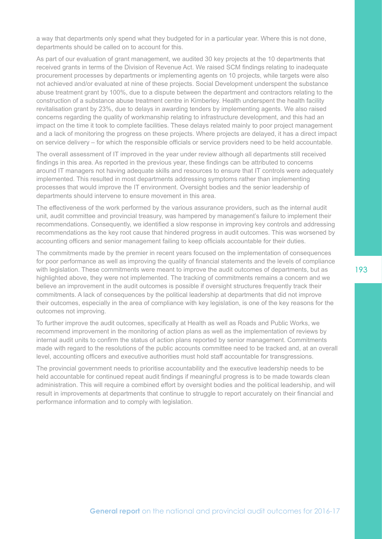a way that departments only spend what they budgeted for in a particular year. Where this is not done, departments should be called on to account for this.

As part of our evaluation of grant management, we audited 30 key projects at the 10 departments that received grants in terms of the Division of Revenue Act. We raised SCM findings relating to inadequate procurement processes by departments or implementing agents on 10 projects, while targets were also not achieved and/or evaluated at nine of these projects. Social Development underspent the substance abuse treatment grant by 100%, due to a dispute between the department and contractors relating to the construction of a substance abuse treatment centre in Kimberley. Health underspent the health facility revitalisation grant by 23%, due to delays in awarding tenders by implementing agents. We also raised concerns regarding the quality of workmanship relating to infrastructure development, and this had an impact on the time it took to complete facilities. These delays related mainly to poor project management and a lack of monitoring the progress on these projects. Where projects are delayed, it has a direct impact on service delivery – for which the responsible officials or service providers need to be held accountable.

The overall assessment of IT improved in the year under review although all departments still received findings in this area. As reported in the previous year, these findings can be attributed to concerns around IT managers not having adequate skills and resources to ensure that IT controls were adequately implemented. This resulted in most departments addressing symptoms rather than implementing processes that would improve the IT environment. Oversight bodies and the senior leadership of departments should intervene to ensure movement in this area.

The effectiveness of the work performed by the various assurance providers, such as the internal audit unit, audit committee and provincial treasury, was hampered by management's failure to implement their recommendations. Consequently, we identified a slow response in improving key controls and addressing recommendations as the key root cause that hindered progress in audit outcomes. This was worsened by accounting officers and senior management failing to keep officials accountable for their duties.

The commitments made by the premier in recent years focused on the implementation of consequences for poor performance as well as improving the quality of financial statements and the levels of compliance with legislation. These commitments were meant to improve the audit outcomes of departments, but as highlighted above, they were not implemented. The tracking of commitments remains a concern and we believe an improvement in the audit outcomes is possible if oversight structures frequently track their commitments. A lack of consequences by the political leadership at departments that did not improve their outcomes, especially in the area of compliance with key legislation, is one of the key reasons for the outcomes not improving.

To further improve the audit outcomes, specifically at Health as well as Roads and Public Works, we recommend improvement in the monitoring of action plans as well as the implementation of reviews by internal audit units to confirm the status of action plans reported by senior management. Commitments made with regard to the resolutions of the public accounts committee need to be tracked and, at an overall level, accounting officers and executive authorities must hold staff accountable for transgressions.

The provincial government needs to prioritise accountability and the executive leadership needs to be held accountable for continued repeat audit findings if meaningful progress is to be made towards clean administration. This will require a combined effort by oversight bodies and the political leadership, and will result in improvements at departments that continue to struggle to report accurately on their financial and performance information and to comply with legislation.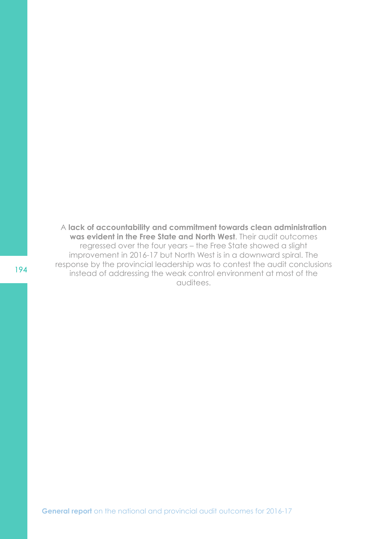A **lack of accountability and commitment towards clean administration was evident in the Free State and North West**. Their audit outcomes regressed over the four years – the Free State showed a slight improvement in 2016-17 but North West is in a downward spiral. The response by the provincial leadership was to contest the audit conclusions instead of addressing the weak control environment at most of the auditees.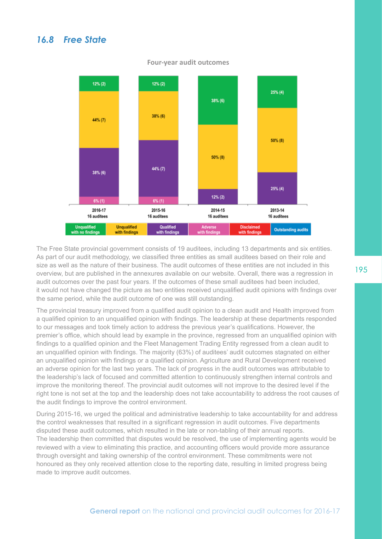### *16.8 Free State*



#### **Four-year audit outcomes**

The Free State provincial government consists of 19 auditees, including 13 departments and six entities. As part of our audit methodology, we classified three entities as small auditees based on their role and size as well as the nature of their business. The audit outcomes of these entities are not included in this overview, but are published in the annexures available on our website. Overall, there was a regression in audit outcomes over the past four years. If the outcomes of these small auditees had been included, it would not have changed the picture as two entities received unqualified audit opinions with findings over the same period, while the audit outcome of one was still outstanding.

The provincial treasury improved from a qualified audit opinion to a clean audit and Health improved from a qualified opinion to an unqualified opinion with findings. The leadership at these departments responded to our messages and took timely action to address the previous year's qualifications. However, the premier's office, which should lead by example in the province, regressed from an unqualified opinion with findings to a qualified opinion and the Fleet Management Trading Entity regressed from a clean audit to an unqualified opinion with findings. The majority (63%) of auditees' audit outcomes stagnated on either an unqualified opinion with findings or a qualified opinion. Agriculture and Rural Development received an adverse opinion for the last two years. The lack of progress in the audit outcomes was attributable to the leadership's lack of focused and committed attention to continuously strengthen internal controls and improve the monitoring thereof. The provincial audit outcomes will not improve to the desired level if the right tone is not set at the top and the leadership does not take accountability to address the root causes of the audit findings to improve the control environment.

During 2015-16, we urged the political and administrative leadership to take accountability for and address the control weaknesses that resulted in a significant regression in audit outcomes. Five departments disputed these audit outcomes, which resulted in the late or non-tabling of their annual reports. The leadership then committed that disputes would be resolved, the use of implementing agents would be reviewed with a view to eliminating this practice, and accounting officers would provide more assurance through oversight and taking ownership of the control environment. These commitments were not honoured as they only received attention close to the reporting date, resulting in limited progress being made to improve audit outcomes.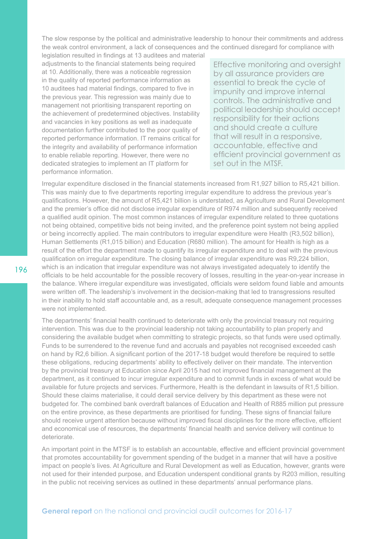The slow response by the political and administrative leadership to honour their commitments and address the weak control environment, a lack of consequences and the continued disregard for compliance with

legislation resulted in findings at 13 auditees and material adjustments to the financial statements being required at 10. Additionally, there was a noticeable regression in the quality of reported performance information as 10 auditees had material findings, compared to five in the previous year. This regression was mainly due to management not prioritising transparent reporting on the achievement of predetermined objectives. Instability and vacancies in key positions as well as inadequate documentation further contributed to the poor quality of reported performance information. IT remains critical for the integrity and availability of performance information to enable reliable reporting. However, there were no dedicated strategies to implement an IT platform for performance information.

Effective monitoring and oversight by all assurance providers are essential to break the cycle of impunity and improve internal controls. The administrative and political leadership should accept responsibility for their actions and should create a culture that will result in a responsive, accountable, effective and efficient provincial government as set out in the MTSF.

Irregular expenditure disclosed in the financial statements increased from R1,927 billion to R5,421 billion. This was mainly due to five departments reporting irregular expenditure to address the previous year's qualifications. However, the amount of R5,421 billion is understated, as Agriculture and Rural Development and the premier's office did not disclose irregular expenditure of R974 million and subsequently received a qualified audit opinion. The most common instances of irregular expenditure related to three quotations not being obtained, competitive bids not being invited, and the preference point system not being applied or being incorrectly applied. The main contributors to irregular expenditure were Health (R3,502 billion), Human Settlements (R1,015 billion) and Education (R680 million). The amount for Health is high as a result of the effort the department made to quantify its irregular expenditure and to deal with the previous qualification on irregular expenditure. The closing balance of irregular expenditure was R9,224 billion, which is an indication that irregular expenditure was not always investigated adequately to identify the officials to be held accountable for the possible recovery of losses, resulting in the year-on-year increase in the balance. Where irregular expenditure was investigated, officials were seldom found liable and amounts were written off. The leadership's involvement in the decision-making that led to transgressions resulted in their inability to hold staff accountable and, as a result, adequate consequence management processes were not implemented.

The departments' financial health continued to deteriorate with only the provincial treasury not requiring intervention. This was due to the provincial leadership not taking accountability to plan properly and considering the available budget when committing to strategic projects, so that funds were used optimally. Funds to be surrendered to the revenue fund and accruals and payables not recognised exceeded cash on hand by R2,6 billion. A significant portion of the 2017-18 budget would therefore be required to settle these obligations, reducing departments' ability to effectively deliver on their mandate. The intervention by the provincial treasury at Education since April 2015 had not improved financial management at the department, as it continued to incur irregular expenditure and to commit funds in excess of what would be available for future projects and services. Furthermore, Health is the defendant in lawsuits of R1,5 billion. Should these claims materialise, it could derail service delivery by this department as these were not budgeted for. The combined bank overdraft balances of Education and Health of R885 million put pressure on the entire province, as these departments are prioritised for funding. These signs of financial failure should receive urgent attention because without improved fiscal disciplines for the more effective, efficient and economical use of resources, the departments' financial health and service delivery will continue to deteriorate.

An important point in the MTSF is to establish an accountable, effective and efficient provincial government that promotes accountability for government spending of the budget in a manner that will have a positive impact on people's lives. At Agriculture and Rural Development as well as Education, however, grants were not used for their intended purpose, and Education underspent conditional grants by R203 million, resulting in the public not receiving services as outlined in these departments' annual performance plans.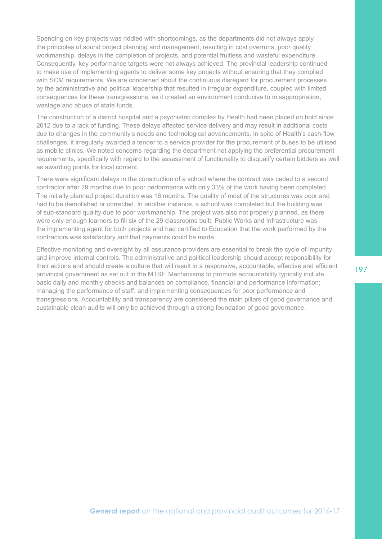Spending on key projects was riddled with shortcomings, as the departments did not always apply the principles of sound project planning and management, resulting in cost overruns, poor quality workmanship, delays in the completion of projects, and potential fruitless and wasteful expenditure. Consequently, key performance targets were not always achieved. The provincial leadership continued to make use of implementing agents to deliver some key projects without ensuring that they complied with SCM requirements. We are concerned about the continuous disregard for procurement processes by the administrative and political leadership that resulted in irregular expenditure, coupled with limited consequences for these transgressions, as it created an environment conducive to misappropriation, wastage and abuse of state funds.

The construction of a district hospital and a psychiatric complex by Health had been placed on hold since 2012 due to a lack of funding. These delays affected service delivery and may result in additional costs due to changes in the community's needs and technological advancements. In spite of Health's cash-flow challenges, it irregularly awarded a tender to a service provider for the procurement of buses to be utilised as mobile clinics. We noted concerns regarding the department not applying the preferential procurement requirements, specifically with regard to the assessment of functionality to disqualify certain bidders as well as awarding points for local content.

There were significant delays in the construction of a school where the contract was ceded to a second contractor after 29 months due to poor performance with only 33% of the work having been completed. The initially planned project duration was 16 months. The quality of most of the structures was poor and had to be demolished or corrected. In another instance, a school was completed but the building was of sub-standard quality due to poor workmanship. The project was also not properly planned, as there were only enough learners to fill six of the 29 classrooms built. Public Works and Infrastructure was the implementing agent for both projects and had certified to Education that the work performed by the contractors was satisfactory and that payments could be made.

Effective monitoring and oversight by all assurance providers are essential to break the cycle of impunity and improve internal controls. The administrative and political leadership should accept responsibility for their actions and should create a culture that will result in a responsive, accountable, effective and efficient provincial government as set out in the MTSF. Mechanisms to promote accountability typically include basic daily and monthly checks and balances on compliance, financial and performance information; managing the performance of staff; and implementing consequences for poor performance and transgressions. Accountability and transparency are considered the main pillars of good governance and sustainable clean audits will only be achieved through a strong foundation of good governance.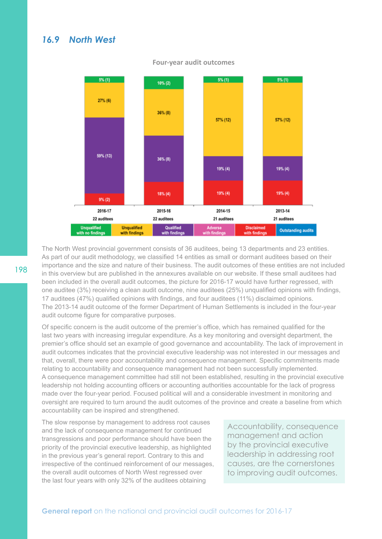### *16.9 North West*



#### **Four-year audit outcomes**

The North West provincial government consists of 36 auditees, being 13 departments and 23 entities. As part of our audit methodology, we classified 14 entities as small or dormant auditees based on their importance and the size and nature of their business. The audit outcomes of these entities are not included in this overview but are published in the annexures available on our website. If these small auditees had been included in the overall audit outcomes, the picture for 2016-17 would have further regressed, with one auditee (3%) receiving a clean audit outcome, nine auditees (25%) unqualified opinions with findings, 17 auditees (47%) qualified opinions with findings, and four auditees (11%) disclaimed opinions. The 2013-14 audit outcome of the former Department of Human Settlements is included in the four-year audit outcome figure for comparative purposes.

Of specific concern is the audit outcome of the premier's office, which has remained qualified for the last two years with increasing irregular expenditure. As a key monitoring and oversight department, the premier's office should set an example of good governance and accountability. The lack of improvement in audit outcomes indicates that the provincial executive leadership was not interested in our messages and that, overall, there were poor accountability and consequence management. Specific commitments made relating to accountability and consequence management had not been successfully implemented. A consequence management committee had still not been established, resulting in the provincial executive leadership not holding accounting officers or accounting authorities accountable for the lack of progress made over the four-year period. Focused political will and a considerable investment in monitoring and oversight are required to turn around the audit outcomes of the province and create a baseline from which accountability can be inspired and strengthened.

The slow response by management to address root causes and the lack of consequence management for continued transgressions and poor performance should have been the priority of the provincial executive leadership, as highlighted in the previous year's general report. Contrary to this and irrespective of the continued reinforcement of our messages, the overall audit outcomes of North West regressed over the last four years with only 32% of the auditees obtaining

Accountability, consequence management and action by the provincial executive leadership in addressing root causes, are the cornerstones to improving audit outcomes.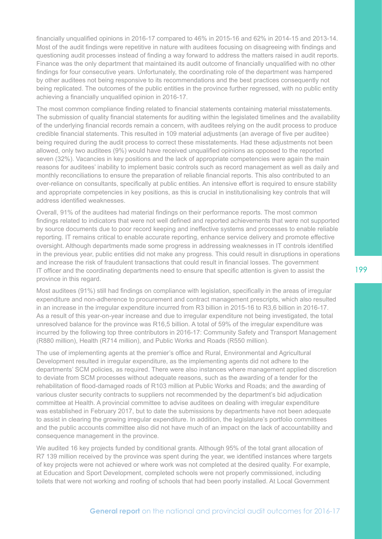financially unqualified opinions in 2016-17 compared to 46% in 2015-16 and 62% in 2014-15 and 2013-14. Most of the audit findings were repetitive in nature with auditees focusing on disagreeing with findings and questioning audit processes instead of finding a way forward to address the matters raised in audit reports. Finance was the only department that maintained its audit outcome of financially unqualified with no other findings for four consecutive years. Unfortunately, the coordinating role of the department was hampered by other auditees not being responsive to its recommendations and the best practices consequently not being replicated. The outcomes of the public entities in the province further regressed, with no public entity achieving a financially unqualified opinion in 2016-17.

The most common compliance finding related to financial statements containing material misstatements. The submission of quality financial statements for auditing within the legislated timelines and the availability of the underlying financial records remain a concern, with auditees relying on the audit process to produce credible financial statements. This resulted in 109 material adjustments (an average of five per auditee) being required during the audit process to correct these misstatements. Had these adjustments not been allowed, only two auditees (9%) would have received unqualified opinions as opposed to the reported seven (32%). Vacancies in key positions and the lack of appropriate competencies were again the main reasons for auditees' inability to implement basic controls such as record management as well as daily and monthly reconciliations to ensure the preparation of reliable financial reports. This also contributed to an over-reliance on consultants, specifically at public entities. An intensive effort is required to ensure stability and appropriate competencies in key positions, as this is crucial in institutionalising key controls that will address identified weaknesses.

Overall, 91% of the auditees had material findings on their performance reports. The most common findings related to indicators that were not well defined and reported achievements that were not supported by source documents due to poor record keeping and ineffective systems and processes to enable reliable reporting. IT remains critical to enable accurate reporting, enhance service delivery and promote effective oversight. Although departments made some progress in addressing weaknesses in IT controls identified in the previous year, public entities did not make any progress. This could result in disruptions in operations and increase the risk of fraudulent transactions that could result in financial losses. The government IT officer and the coordinating departments need to ensure that specific attention is given to assist the province in this regard.

Most auditees (91%) still had findings on compliance with legislation, specifically in the areas of irregular expenditure and non-adherence to procurement and contract management prescripts, which also resulted in an increase in the irregular expenditure incurred from R3 billion in 2015-16 to R3,6 billion in 2016-17. As a result of this year-on-year increase and due to irregular expenditure not being investigated, the total unresolved balance for the province was R16,5 billion. A total of 59% of the irregular expenditure was incurred by the following top three contributors in 2016-17: Community Safety and Transport Management (R880 million), Health (R714 million), and Public Works and Roads (R550 million).

The use of implementing agents at the premier's office and Rural, Environmental and Agricultural Development resulted in irregular expenditure, as the implementing agents did not adhere to the departments' SCM policies, as required. There were also instances where management applied discretion to deviate from SCM processes without adequate reasons, such as the awarding of a tender for the rehabilitation of flood-damaged roads of R103 million at Public Works and Roads; and the awarding of various cluster security contracts to suppliers not recommended by the department's bid adjudication committee at Health. A provincial committee to advise auditees on dealing with irregular expenditure was established in February 2017, but to date the submissions by departments have not been adequate to assist in clearing the growing irregular expenditure. In addition, the legislature's portfolio committees and the public accounts committee also did not have much of an impact on the lack of accountability and consequence management in the province.

We audited 16 key projects funded by conditional grants. Although 95% of the total grant allocation of R7 139 million received by the province was spent during the year, we identified instances where targets of key projects were not achieved or where work was not completed at the desired quality. For example, at Education and Sport Development, completed schools were not properly commissioned, including toilets that were not working and roofing of schools that had been poorly installed. At Local Government